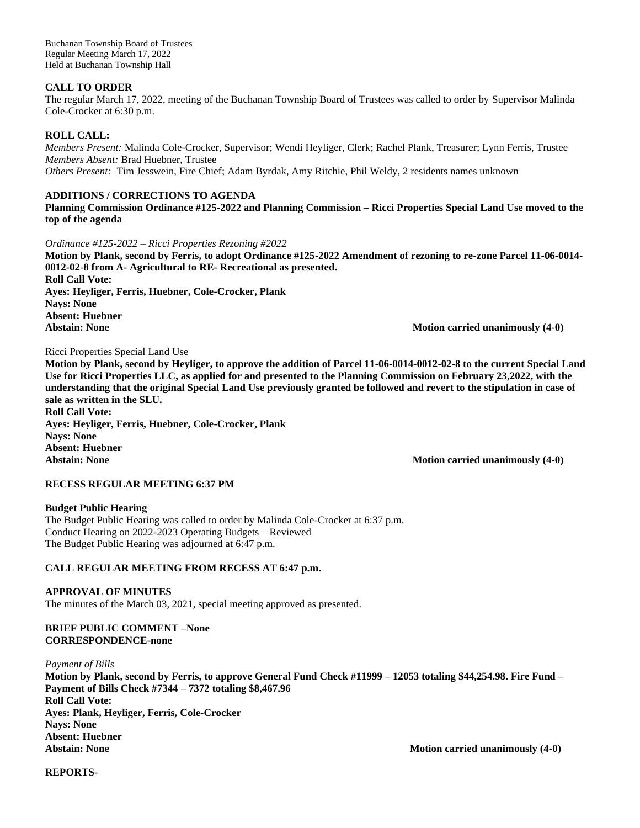Buchanan Township Board of Trustees Regular Meeting March 17, 2022 Held at Buchanan Township Hall

## **CALL TO ORDER**

The regular March 17, 2022, meeting of the Buchanan Township Board of Trustees was called to order by Supervisor Malinda Cole-Crocker at 6:30 p.m.

## **ROLL CALL:**

*Members Present:* Malinda Cole-Crocker, Supervisor; Wendi Heyliger, Clerk; Rachel Plank, Treasurer; Lynn Ferris, Trustee *Members Absent:* Brad Huebner, Trustee *Others Present:* Tim Jesswein, Fire Chief; Adam Byrdak, Amy Ritchie, Phil Weldy, 2 residents names unknown

### **ADDITIONS / CORRECTIONS TO AGENDA**

**Planning Commission Ordinance #125-2022 and Planning Commission – Ricci Properties Special Land Use moved to the top of the agenda**

#### *Ordinance #125-2022 – Ricci Properties Rezoning #2022*

**Motion by Plank, second by Ferris, to adopt Ordinance #125-2022 Amendment of rezoning to re-zone Parcel 11-06-0014- 0012-02-8 from A- Agricultural to RE- Recreational as presented. Roll Call Vote: Ayes: Heyliger, Ferris, Huebner, Cole-Crocker, Plank**

**Nays: None Absent: Huebner**

**Motion carried unanimously (4-0)** 

#### Ricci Properties Special Land Use

**Motion by Plank, second by Heyliger, to approve the addition of Parcel 11-06-0014-0012-02-8 to the current Special Land Use for Ricci Properties LLC, as applied for and presented to the Planning Commission on February 23,2022, with the understanding that the original Special Land Use previously granted be followed and revert to the stipulation in case of sale as written in the SLU. Roll Call Vote:**

**Ayes: Heyliger, Ferris, Huebner, Cole-Crocker, Plank Nays: None Absent: Huebner** Abstain: None **Motion carried unanimously (4-0) Motion carried unanimously (4-0)** 

## **RECESS REGULAR MEETING 6:37 PM**

#### **Budget Public Hearing**

The Budget Public Hearing was called to order by Malinda Cole-Crocker at 6:37 p.m. Conduct Hearing on 2022-2023 Operating Budgets – Reviewed The Budget Public Hearing was adjourned at 6:47 p.m.

# **CALL REGULAR MEETING FROM RECESS AT 6:47 p.m.**

**APPROVAL OF MINUTES** The minutes of the March 03, 2021, special meeting approved as presented.

#### **BRIEF PUBLIC COMMENT –None CORRESPONDENCE-none**

*Payment of Bills*

**Motion by Plank, second by Ferris, to approve General Fund Check #11999 – 12053 totaling \$44,254.98. Fire Fund – Payment of Bills Check #7344 – 7372 totaling \$8,467.96 Roll Call Vote: Ayes: Plank, Heyliger, Ferris, Cole-Crocker Nays: None Absent: Huebner** Abstain: None **Motion carried unanimously (4-0)** Motion carried unanimously (4-0)

#### **REPORTS-**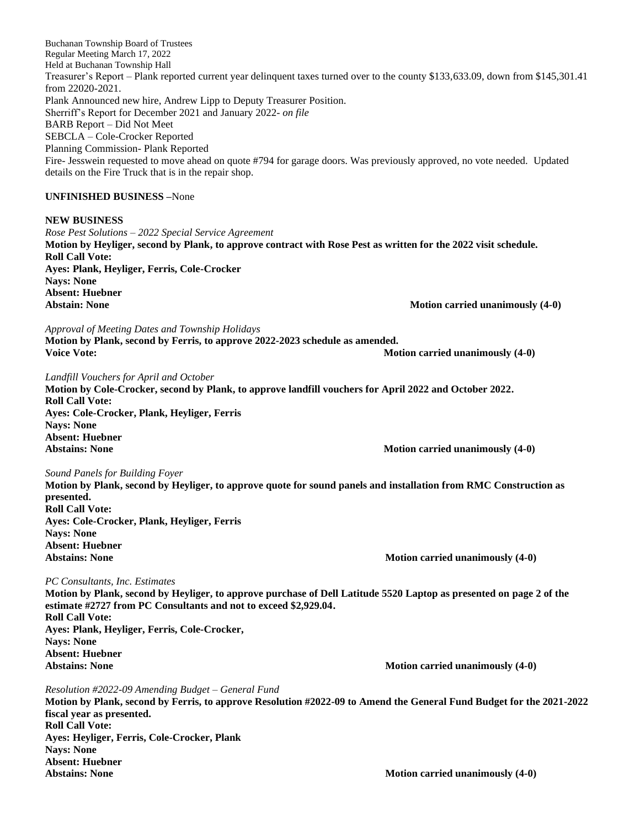Buchanan Township Board of Trustees Regular Meeting March 17, 2022 Held at Buchanan Township Hall Treasurer's Report – Plank reported current year delinquent taxes turned over to the county \$133,633.09, down from \$145,301.41 from 22020-2021. Plank Announced new hire, Andrew Lipp to Deputy Treasurer Position. Sherriff's Report for December 2021 and January 2022*- on file* BARB Report – Did Not Meet SEBCLA – Cole-Crocker Reported Planning Commission- Plank Reported Fire- Jesswein requested to move ahead on quote #794 for garage doors. Was previously approved, no vote needed. Updated details on the Fire Truck that is in the repair shop.

## **UNFINISHED BUSINESS –**None

#### **NEW BUSINESS**

*Rose Pest Solutions – 2022 Special Service Agreement* **Motion by Heyliger, second by Plank, to approve contract with Rose Pest as written for the 2022 visit schedule. Roll Call Vote: Ayes: Plank, Heyliger, Ferris, Cole-Crocker Nays: None Absent: Huebner** Abstain: None **Motion carried unanimously (4-0)** Motion carried unanimously (4-0)

*Approval of Meeting Dates and Township Holidays*

**Motion by Plank, second by Ferris, to approve 2022-2023 schedule as amended. Voice** Vote: **Motion carried unanimously (4-0)** 

#### *Landfill Vouchers for April and October*

**Motion by Cole-Crocker, second by Plank, to approve landfill vouchers for April 2022 and October 2022. Roll Call Vote: Ayes: Cole-Crocker, Plank, Heyliger, Ferris Nays: None Absent: Huebner Motion carried unanimously (4-0)** 

#### *Sound Panels for Building Foyer*

**Motion by Plank, second by Heyliger, to approve quote for sound panels and installation from RMC Construction as presented. Roll Call Vote: Ayes: Cole-Crocker, Plank, Heyliger, Ferris Nays: None Absent: Huebner** Abstains: None **Motion carried unanimously (4-0) Motion carried unanimously (4-0)** 

#### *PC Consultants, Inc. Estimates*

**Motion by Plank, second by Heyliger, to approve purchase of Dell Latitude 5520 Laptop as presented on page 2 of the estimate #2727 from PC Consultants and not to exceed \$2,929.04. Roll Call Vote: Ayes: Plank, Heyliger, Ferris, Cole-Crocker, Nays: None Absent: Huebner** Abstains: None **Motion carried unanimously (4-0) Motion carried unanimously (4-0)** 

*Resolution #2022-09 Amending Budget – General Fund*  **Motion by Plank, second by Ferris, to approve Resolution #2022-09 to Amend the General Fund Budget for the 2021-2022 fiscal year as presented. Roll Call Vote: Ayes: Heyliger, Ferris, Cole-Crocker, Plank Nays: None Absent: Huebner** Abstains: None **Motion carried unanimously (4-0) Motion carried unanimously (4-0)**